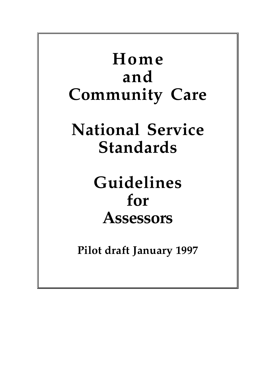| Home<br>and<br><b>Community Care</b>        |
|---------------------------------------------|
| <b>National Service</b><br><b>Standards</b> |
| Guidelines<br>for<br><b>Assessors</b>       |
| <b>Pilot draft January 1997</b>             |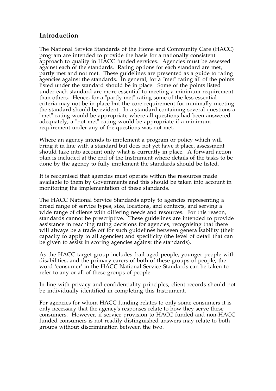# **Introduction**

The National Service Standards of the Home and Community Care (HACC) program are intended to provide the basis for a nationally consistent approach to quality in HACC funded services. Agencies must be assessed against each of the standards. Rating options for each standard are met, partly met and not met. These guidelines are presented as a guide to rating agencies against the standards. In general, for a "met" rating all of the points listed under the standard should be in place. Some of the points listed under each standard are more essential to meeting a minimum requirement than others. Hence, for a "partly met" rating some of the less essential criteria may not be in place but the core requirement for minimally meeting the standard should be evident. In a standard containing several questions a "met" rating would be appropriate where all questions had been answered adequately; a "not met" rating would be appropriate if a minimum requirement under any of the questions was not met.

Where an agency intends to implement a program or policy which will bring it in line with a standard but does not yet have it place, assessment should take into account only what is currently in place. A forward action plan is included at the end of the Instrument where details of the tasks to be done by the agency to fully implement the standards should be listed.

It is recognised that agencies must operate within the resources made available to them by Governments and this should be taken into account in monitoring the implementation of these standards.

The HACC National Service Standards apply to agencies representing a broad range of service types, size, locations, and contexts, and serving a wide range of clients with differing needs and resources. For this reason, standards cannot be prescriptive. These guidelines are intended to provide assistance in reaching rating decisions for agencies, recognising that there will always be a trade off for such guidelines between generalisability (their capacity to apply to all agencies) and specificity (the level of detail that can be given to assist in scoring agencies against the standards).

As the HACC target group includes frail aged people, younger people with disabilities, and the primary carers of both of these groups of people, the word 'consumer' in the HACC National Service Standards can be taken to refer to any or all of these groups of people.

In line with privacy and confidentiality principles, client records should not be individually identified in completing this Instrument.

For agencies for whom HACC funding relates to only some consumers it is only necessary that the agency's responses relate to how they serve these consumers. However, if service provision to HACC funded and non-HACC funded consumers is not readily distinguished answers may relate to both groups without discrimination between the two.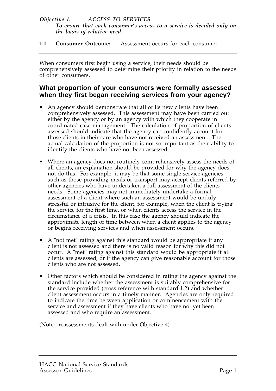### *Objective 1: ACCESS TO SERVICES To ensure that each consumer's access to a service is decided only on the basis of relative need.*

**1.1 Consumer Outcome:** Assessment occurs for each consumer.

When consumers first begin using a service, their needs should be comprehensively assessed to determine their priority in relation to the needs of other consumers.

# **What proportion of your consumers were formally assessed when they first began receiving services from your agency?**

- An agency should demonstrate that all of its new clients have been comprehensively assessed. This assessment may have been carried out either by the agency or by an agency with which they cooperate in coordinated case management. The calculation of proportion of clients assessed should indicate that the agency can confidently account for those clients in their care who have not received an assessment. The actual calculation of the proportion is not so important as their ability to identify the clients who have not been assessed.
- Where an agency does not routinely comprehensively assess the needs of all clients, an explanation should be provided for why the agency does not do this. For example, it may be that some single service agencies such as those providing meals or transport may accept clients referred by other agencies who have undertaken a full assessment of the clients' needs. Some agencies may not immediately undertake a formal assessment of a client where such an assessment would be unduly stressful or intrusive for the client, for example, when the client is trying the service for the first time, or when clients access the service in the circumstance of a crisis. In this case the agency should indicate the approximate length of time between when a client applies to the agency or begins receiving services and when assessment occurs.
- A "not met" rating against this standard would be appropriate if any client is not assessed and there is no valid reason for why this did not occur. A "met" rating against this standard would be appropriate if all clients are assessed, or if the agency can give reasonable account for those clients who are not assessed.
- Other factors which should be considered in rating the agency against the standard include whether the assessment is suitably comprehensive for the service provided (cross reference with standard 1.2) and whether client assessment occurs in a timely manner. Agencies are only required to indicate the time between application or commencement with the service and assessment if they have clients who have not yet been assessed and who require an assessment.

(Note: reassessments dealt with under Objective 4)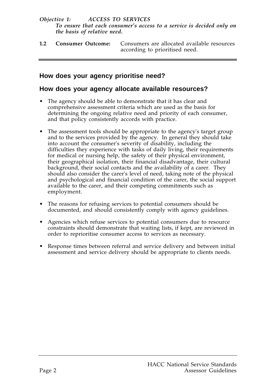*To ensure that each consumer's access to a service is decided only on the basis of relative need.*

**1.2 Consumer Outcome:** Consumers are allocated available resources according to prioritised need.

# **How does your agency prioritise need?**

# **How does your agency allocate available resources?**

- The agency should be able to demonstrate that it has clear and comprehensive assessment criteria which are used as the basis for determining the ongoing relative need and priority of each consumer, and that policy consistently accords with practice.
- The assessment tools should be appropriate to the agency's target group and to the services provided by the agency. In general they should take into account the consumer's severity of disability, including the difficulties they experience with tasks of daily living, their requirements for medical or nursing help, the safety of their physical environment, their geographical isolation, their financial disadvantage, their cultural background, their social contacts and the availability of a carer. They should also consider the carer's level of need, taking note of the physical and psychological and financial condition of the carer, the social support available to the carer, and their competing commitments such as employment.
- The reasons for refusing services to potential consumers should be documented, and should consistently comply with agency guidelines.
- Agencies which refuse services to potential consumers due to resource constraints should demonstrate that waiting lists, if kept, are reviewed in order to reprioritise consumer access to services as necessary.
- Response times between referral and service delivery and between initial assessment and service delivery should be appropriate to clients needs.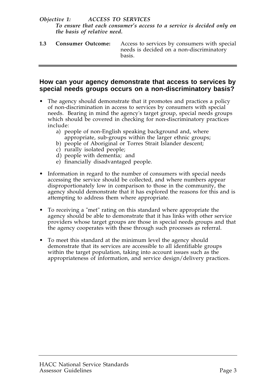*To ensure that each consumer's access to a service is decided only on the basis of relative need.*

**1.3 Consumer Outcome:** Access to services by consumers with special needs is decided on a non-discriminatory basis.

### **How can your agency demonstrate that access to services by special needs groups occurs on a non-discriminatory basis?**

- The agency should demonstrate that it promotes and practices a policy of non-discrimination in access to services by consumers with special needs. Bearing in mind the agency's target group, special needs groups which should be covered in checking for non-discriminatory practices include:
	- a) people of non-English speaking background and, where appropriate, sub-groups within the larger ethnic groups;
	- b) people of Aboriginal or Torres Strait Islander descent;
	- c) rurally isolated people;
	- d) people with dementia; and
	- e) financially disadvantaged people.
- Information in regard to the number of consumers with special needs accessing the service should be collected, and where numbers appear disproportionately low in comparison to those in the community, the agency should demonstrate that it has explored the reasons for this and is attempting to address them where appropriate.
- To receiving a "met" rating on this standard where appropriate the agency should be able to demonstrate that it has links with other service providers whose target groups are those in special needs groups and that the agency cooperates with these through such processes as referral.
- To meet this standard at the minimum level the agency should demonstrate that its services are accessible to all identifiable groups within the target population, taking into account issues such as the appropriateness of information, and service design/delivery practices.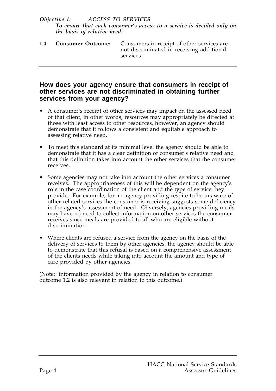*To ensure that each consumer's access to a service is decided only on the basis of relative need.*

**1.4 Consumer Outcome:** Consumers in receipt of other services are not discriminated in receiving additional services.

# **How does your agency ensure that consumers in receipt of other services are not discriminated in obtaining further services from your agency?**

- A consumer's receipt of other services may impact on the assessed need of that client, in other words, resources may appropriately be directed at those with least access to other resources, however, an agency should demonstrate that it follows a consistent and equitable approach to assessing relative need.
- To meet this standard at its minimal level the agency should be able to demonstrate that it has a clear definition of consumer's relative need and that this definition takes into account the other services that the consumer receives.
- Some agencies may not take into account the other services a consumer receives. The appropriateness of this will be dependent on the agency's role in the case coordination of the client and the type of service they provide. For example, for an agency providing respite to be unaware of other related services the consumer is receiving suggests some deficiency in the agency's assessment of need. Obversely, agencies providing meals may have no need to collect information on other services the consumer receives since meals are provided to all who are eligible without discrimination.
- Where clients are refused a service from the agency on the basis of the delivery of services to them by other agencies, the agency should be able to demonstrate that this refusal is based on a comprehensive assessment of the clients needs while taking into account the amount and type of care provided by other agencies.

(Note: information provided by the agency in relation to consumer outcome 1.2 is also relevant in relation to this outcome.)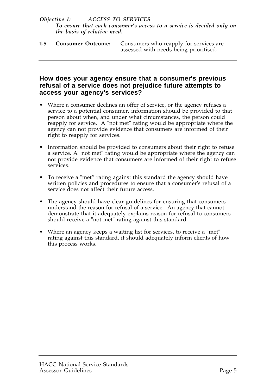*To ensure that each consumer's access to a service is decided only on the basis of relative need.*

**1.5 Consumer Outcome:** Consumers who reapply for services are assessed with needs being prioritised.

# **How does your agency ensure that a consumer's previous refusal of a service does not prejudice future attempts to access your agency's services?**

- Where a consumer declines an offer of service, or the agency refuses a service to a potential consumer, information should be provided to that person about when, and under what circumstances, the person could reapply for service. A "not met" rating would be appropriate where the agency can not provide evidence that consumers are informed of their right to reapply for services.
- Information should be provided to consumers about their right to refuse a service. A "not met" rating would be appropriate where the agency can not provide evidence that consumers are informed of their right to refuse services.
- To receive a "met" rating against this standard the agency should have written policies and procedures to ensure that a consumer's refusal of a service does not affect their future access.
- The agency should have clear guidelines for ensuring that consumers understand the reason for refusal of a service. An agency that cannot demonstrate that it adequately explains reason for refusal to consumers should receive a "not met" rating against this standard.
- Where an agency keeps a waiting list for services, to receive a "met" rating against this standard, it should adequately inform clients of how this process works.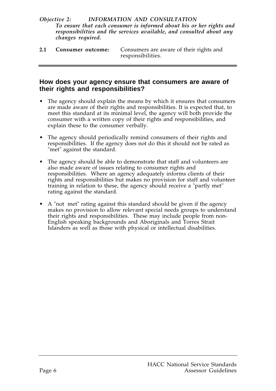### *Objective 2: INFORMATION AND CONSULTATION To ensure that each consumer is informed about his or her rights and responsibilities and the services available, and consulted about any changes required.*

**2.1 Consumer outcome:** Consumers are aware of their rights and responsibilities.

# **How does your agency ensure that consumers are aware of their rights and responsibilities?**

- The agency should explain the means by which it ensures that consumers are made aware of their rights and responsibilities. It is expected that, to meet this standard at its minimal level, the agency will both provide the consumer with a written copy of their rights and responsibilities, and explain these to the consumer verbally.
- The agency should periodically remind consumers of their rights and responsibilities. If the agency does not do this it should not be rated as "met" against the standard.
- The agency should be able to demonstrate that staff and volunteers are also made aware of issues relating to consumer rights and responsibilities. Where an agency adequately informs clients of their rights and responsibilities but makes no provision for staff and volunteer training in relation to these, the agency should receive a "partly met" rating against the standard.
- A "not met" rating against this standard should be given if the agency makes no provision to allow relevant special needs groups to understand their rights and responsibilities. These may include people from non-English speaking backgrounds and Aboriginals and Torres Strait Islanders as well as those with physical or intellectual disabilities.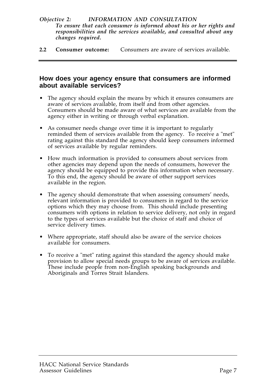#### *Objective 2: INFORMATION AND CONSULTATION To ensure that each consumer is informed about his or her rights and responsibilities and the services available, and consulted about any changes required.*

**2.2 Consumer outcome:** Consumers are aware of services available.

### **How does your agency ensure that consumers are informed about available services?**

- The agency should explain the means by which it ensures consumers are aware of services available, from itself and from other agencies. Consumers should be made aware of what services are available from the agency either in writing or through verbal explanation.
- As consumer needs change over time it is important to regularly reminded them of services available from the agency. To receive a "met" rating against this standard the agency should keep consumers informed of services available by regular reminders.
- How much information is provided to consumers about services from other agencies may depend upon the needs of consumers, however the agency should be equipped to provide this information when necessary. To this end, the agency should be aware of other support services available in the region.
- The agency should demonstrate that when assessing consumers' needs, relevant information is provided to consumers in regard to the service options which they may choose from. This should include presenting consumers with options in relation to service delivery, not only in regard to the types of services available but the choice of staff and choice of service delivery times.
- Where appropriate, staff should also be aware of the service choices available for consumers.
- To receive a "met" rating against this standard the agency should make provision to allow special needs groups to be aware of services available. These include people from non-English speaking backgrounds and Aboriginals and Torres Strait Islanders.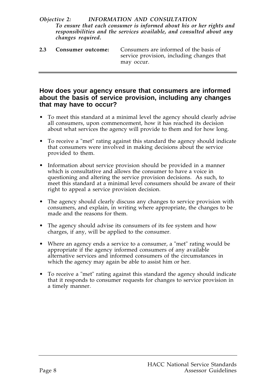#### *Objective 2: INFORMATION AND CONSULTATION To ensure that each consumer is informed about his or her rights and responsibilities and the services available, and consulted about any changes required.*

**2.3 Consumer outcome:** Consumers are informed of the basis of service provision, including changes that may occur.

# **How does your agency ensure that consumers are informed about the basis of service provision, including any changes that may have to occur?**

- To meet this standard at a minimal level the agency should clearly advise all consumers, upon commencement, how it has reached its decision about what services the agency will provide to them and for how long.
- To receive a "met" rating against this standard the agency should indicate that consumers were involved in making decisions about the service provided to them.
- Information about service provision should be provided in a manner which is consultative and allows the consumer to have a voice in questioning and altering the service provision decisions. As such, to meet this standard at a minimal level consumers should be aware of their right to appeal a service provision decision.
- The agency should clearly discuss any changes to service provision with consumers, and explain, in writing where appropriate, the changes to be made and the reasons for them.
- The agency should advise its consumers of its fee system and how charges, if any, will be applied to the consumer.
- Where an agency ends a service to a consumer, a "met" rating would be appropriate if the agency informed consumers of any available alternative services and informed consumers of the circumstances in which the agency may again be able to assist him or her.
- To receive a "met" rating against this standard the agency should indicate that it responds to consumer requests for changes to service provision in a timely manner.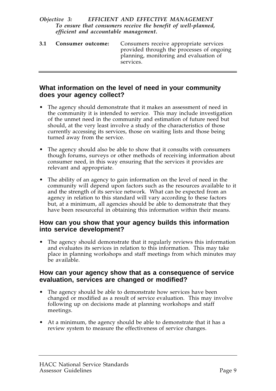### *Objective 3: EFFICIENT AND EFFECTIVE MANAGEMENT To ensure that consumers receive the benefit of well-planned, efficient and accountable management.*

| 3.1 | Consumer outcome: | Consumers receive appropriate services<br>provided through the processes of ongoing<br>planning, monitoring and evaluation of<br>services. |
|-----|-------------------|--------------------------------------------------------------------------------------------------------------------------------------------|
|     |                   |                                                                                                                                            |

# **What information on the level of need in your community does your agency collect?**

- The agency should demonstrate that it makes an assessment of need in the community it is intended to service. This may include investigation of the unmet need in the community and estimation of future need but should, at the very least involve a study of the characteristics of those currently accessing its services, those on waiting lists and those being turned away from the service.
- The agency should also be able to show that it consults with consumers though forums, surveys or other methods of receiving information about consumer need, in this way ensuring that the services it provides are relevant and appropriate.
- The ability of an agency to gain information on the level of need in the community will depend upon factors such as the resources available to it and the strength of its service network. What can be expected from an agency in relation to this standard will vary according to these factors but, at a minimum, all agencies should be able to demonstrate that they have been resourceful in obtaining this information within their means.

# **How can you show that your agency builds this information into service development?**

• The agency should demonstrate that it regularly reviews this information and evaluates its services in relation to this information. This may take place in planning workshops and staff meetings from which minutes may be available.

# **How can your agency show that as a consequence of service evaluation, services are changed or modified?**

- The agency should be able to demonstrate how services have been changed or modified as a result of service evaluation. This may involve following up on decisions made at planning workshops and staff meetings.
- At a minimum, the agency should be able to demonstrate that it has a review system to measure the effectiveness of service changes.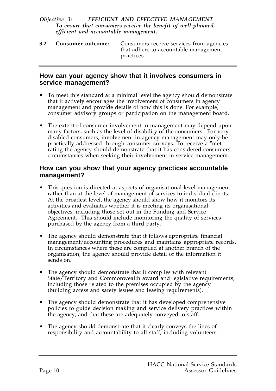### *Objective 3: EFFICIENT AND EFFECTIVE MANAGEMENT To ensure that consumers receive the benefit of well-planned, efficient and accountable management.*

**3.2 Consumer outcome:** Consumers receive services from agencies that adhere to accountable management practices.

# **How can your agency show that it involves consumers in service management?**

- To meet this standard at a minimal level the agency should demonstrate that it actively encourages the involvement of consumers in agency management and provide details of how this is done. For example, consumer advisory groups or participation on the management board.
- The extent of consumer involvement in management may depend upon many factors, such as the level of disability of the consumers. For very disabled consumers, involvement in agency management may only be practically addressed through consumer surveys. To receive a "met" rating the agency should demonstrate that it has considered consumers' circumstances when seeking their involvement in service management.

# **How can you show that your agency practices accountable management?**

- This question is directed at aspects of organisational level management rather than at the level of management of services to individual clients. At the broadest level, the agency should show how it monitors its activities and evaluates whether it is meeting its organisational objectives, including those set out in the Funding and Service Agreement. This should include monitoring the quality of services purchased by the agency from a third party.
- The agency should demonstrate that it follows appropriate financial management/accounting procedures and maintains appropriate records. In circumstances where these are compiled at another branch of the organisation, the agency should provide detail of the information it sends on.
- The agency should demonstrate that it complies with relevant State/Territory and Commonwealth award and legislative requirements, including those related to the premises occupied by the agency (building access and safety issues and leasing requirements).
- The agency should demonstrate that it has developed comprehensive policies to guide decision making and service delivery practices within the agency, and that these are adequately conveyed to staff.
- The agency should demonstrate that it clearly conveys the lines of responsibility and accountability to all staff, including volunteers.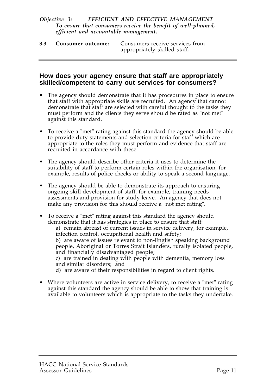### *Objective 3: EFFICIENT AND EFFECTIVE MANAGEMENT To ensure that consumers receive the benefit of well-planned, efficient and accountable management.*

**3.3 Consumer outcome:** Consumers receive services from appropriately skilled staff.

# **How does your agency ensure that staff are appropriately skilled/competent to carry out services for consumers?**

- The agency should demonstrate that it has procedures in place to ensure that staff with appropriate skills are recruited. An agency that cannot demonstrate that staff are selected with careful thought to the tasks they must perform and the clients they serve should be rated as "not met" against this standard.
- To receive a "met" rating against this standard the agency should be able to provide duty statements and selection criteria for staff which are appropriate to the roles they must perform and evidence that staff are recruited in accordance with these.
- The agency should describe other criteria it uses to determine the suitability of staff to perform certain roles within the organisation, for example, results of police checks or ability to speak a second language.
- The agency should be able to demonstrate its approach to ensuring ongoing skill development of staff, for example, training needs assessments and provision for study leave. An agency that does not make any provision for this should receive a "not met rating".
- To receive a "met" rating against this standard the agency should demonstrate that it has strategies in place to ensure that staff: a) remain abreast of current issues in service delivery, for example, infection control, occupational health and safety; b) are aware of issues relevant to non-English speaking background people, Aboriginal or Torres Strait Islanders, rurally isolated people, and financially disadvantaged people; c) are trained in dealing with people with dementia, memory loss and similar disorders; and d) are aware of their responsibilities in regard to client rights.
- Where volunteers are active in service delivery, to receive a "met" rating
- against this standard the agency should be able to show that training is available to volunteers which is appropriate to the tasks they undertake.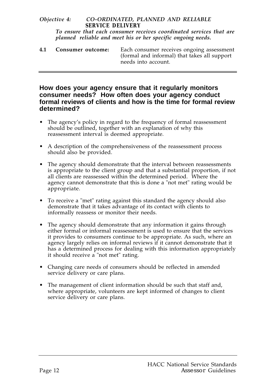#### *Objective 4: CO-ORDINATED, PLANNED AND RELIABLE SERVICE DELIVERY To ensure that each consumer receives coordinated services that are*

*planned reliable and meet his or her specific ongoing needs.*

| 4.1 | Consumer outcome: | Each consumer receives ongoing assessment    |
|-----|-------------------|----------------------------------------------|
|     |                   | (formal and informal) that takes all support |
|     |                   | needs into account.                          |
|     |                   |                                              |

## **How does your agency ensure that it regularly monitors consumer needs? How often does your agency conduct formal reviews of clients and how is the time for formal review determined?**

- The agency's policy in regard to the frequency of formal reassessment should be outlined, together with an explanation of why this reassessment interval is deemed appropriate.
- A description of the comprehensiveness of the reassessment process should also be provided.
- The agency should demonstrate that the interval between reassessments is appropriate to the client group and that a substantial proportion, if not all clients are reassessed within the determined period. Where the agency cannot demonstrate that this is done a "not met" rating would be appropriate.
- To receive a "met" rating against this standard the agency should also demonstrate that it takes advantage of its contact with clients to informally reassess or monitor their needs.
- The agency should demonstrate that any information it gains through either formal or informal reassessment is used to ensure that the services it provides to consumers continue to be appropriate. As such, where an agency largely relies on informal reviews if it cannot demonstrate that it has a determined process for dealing with this information appropriately it should receive a "not met" rating.
- Changing care needs of consumers should be reflected in amended service delivery or care plans.
- The management of client information should be such that staff and, where appropriate, volunteers are kept informed of changes to client service delivery or care plans.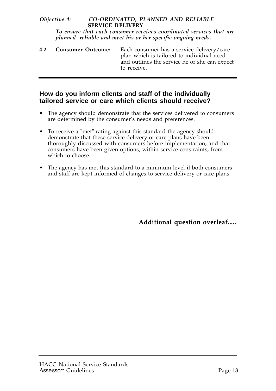### *Objective 4: CO-ORDINATED, PLANNED AND RELIABLE SERVICE DELIVERY To ensure that each consumer receives coordinated services that are*

*planned reliable and meet his or her specific ongoing needs.*

**4.2 Consumer Outcome:** Each consumer has a service delivery/care plan which is tailored to individual need and outlines the service he or she can expect to receive.

# **How do you inform clients and staff of the individually tailored service or care which clients should receive?**

- The agency should demonstrate that the services delivered to consumers are determined by the consumer's needs and preferences.
- To receive a "met" rating against this standard the agency should demonstrate that these service delivery or care plans have been thoroughly discussed with consumers before implementation, and that consumers have been given options, within service constraints, from which to choose.
- The agency has met this standard to a minimum level if both consumers and staff are kept informed of changes to service delivery or care plans.

**Additional question overleaf.....**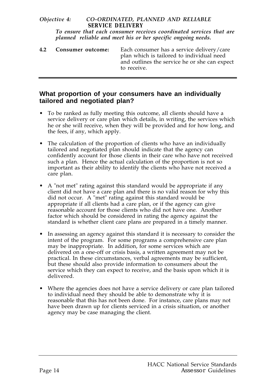*To ensure that each consumer receives coordinated services that are planned reliable and meet his or her specific ongoing needs.*

**4.2 Consumer outcome:** Each consumer has a service delivery/care plan which is tailored to individual need and outlines the service he or she can expect to receive.

# **What proportion of your consumers have an individually tailored and negotiated plan?**

- To be ranked as fully meeting this outcome, all clients should have a service delivery or care plan which details, in writing, the services which he or she will receive, when they will be provided and for how long, and the fees, if any, which apply.
- The calculation of the proportion of clients who have an individually tailored and negotiated plan should indicate that the agency can confidently account for those clients in their care who have not received such a plan. Hence the actual calculation of the proportion is not so important as their ability to identify the clients who have not received a care plan.
- A "not met" rating against this standard would be appropriate if any client did not have a care plan and there is no valid reason for why this did not occur. A "met" rating against this standard would be appropriate if all clients had a care plan, or if the agency can give reasonable account for those clients who did not have one. Another factor which should be considered in rating the agency against the standard is whether client care plans are prepared in a timely manner.
- In assessing an agency against this standard it is necessary to consider the intent of the program. For some programs a comprehensive care plan may be inappropriate. In addition, for some services which are delivered on a one-off or crisis basis, a written agreement may not be practical. In these circumstances, verbal agreements may be sufficient, but these should also provide information to consumers about the service which they can expect to receive, and the basis upon which it is delivered.
- Where the agencies does not have a service delivery or care plan tailored to individual need they should be able to demonstrate why it is reasonable that this has not been done. For instance, care plans may not have been drawn up for clients serviced in a crisis situation, or another agency may be case managing the client.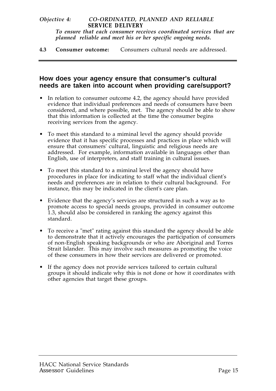*To ensure that each consumer receives coordinated services that are planned reliable and meet his or her specific ongoing needs.*

**4.3 Consumer outcome:** Consumers cultural needs are addressed.

### **How does your agency ensure that consumer's cultural needs are taken into account when providing care/support?**

- In relation to consumer outcome 4.2, the agency should have provided evidence that individual preferences and needs of consumers have been considered, and where possible, met. The agency should be able to show that this information is collected at the time the consumer begins receiving services from the agency.
- To meet this standard to a miminal level the agency should provide evidence that it has specific processes and practices in place which will ensure that consumers' cultural, linguistic and religious needs are addressed. For example, information available in languages other than English, use of interpreters, and staff training in cultural issues.
- To meet this standard to a miminal level the agency should have procedures in place for indicating to staff what the individual client's needs and preferences are in relation to their cultural background. For instance, this may be indicated in the client's care plan.
- Evidence that the agency's services are structured in such a way as to promote access to special needs groups, provided in consumer outcome 1.3, should also be considered in ranking the agency against this standard.
- To receive a "met" rating against this standard the agency should be able to demonstrate that it actively encourages the participation of consumers of non-English speaking backgrounds or who are Aboriginal and Torres Strait Islander. This may involve such measures as promoting the voice of these consumers in how their services are delivered or promoted.
- If the agency does not provide services tailored to certain cultural groups it should indicate why this is not done or how it coordinates with other agencies that target these groups.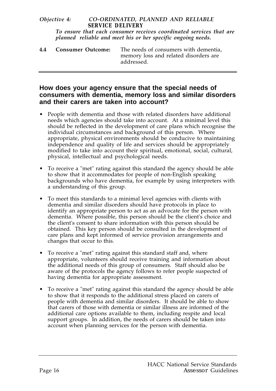*To ensure that each consumer receives coordinated services that are planned reliable and meet his or her specific ongoing needs.*

| 4.4 | Consumer Outcome: | The needs of consumers with dementia,<br>memory loss and related disorders are |
|-----|-------------------|--------------------------------------------------------------------------------|
|     |                   | addressed.                                                                     |

### **How does your agency ensure that the special needs of consumers with dementia, memory loss and similar disorders and their carers are taken into account?**

- People with dementia and those with related disorders have additional needs which agencies should take into account. At a minimal level this should be reflected in the development of care plans which recognise the individual circumstances and background of this person. Where appropriate, physical environments should be conducive to maintaining independence and quality of life and services should be appropriately modified to take into account their spiritual, emotional, social, cultural, physical, intellectual and psychological needs.
- To receive a "met" rating against this standard the agency should be able to show that it accommodates for people of non-English speaking backgrounds who have dementia, for example by using interpreters with a understanding of this group.
- To meet this standards to a minimal level agencies with clients with dementia and similar disorders should have protocols in place to identify an appropriate person to act as an advocate for the person with dementia. Where possible, this person should be the client's choice and the client's consent to share information with this person should be obtained. This key person should be consulted in the development of care plans and kept informed of service provision arrangements and changes that occur to this.
- To receive a "met" rating against this standard staff and, where appropriate, volunteers should receive training and information about the additional needs of this group of consumers. Staff should also be aware of the protocols the agency follows to refer people suspected of having dementia for appropriate assessment.
- To receive a "met" rating against this standard the agency should be able to show that it responds to the additional stress placed on carers of people with dementia and similar disorders. It should be able to show that carers of those with dementia or similar illness are informed of the additional care options available to them, including respite and local support groups. In addition, the needs of carers should be taken into account when planning services for the person with dementia.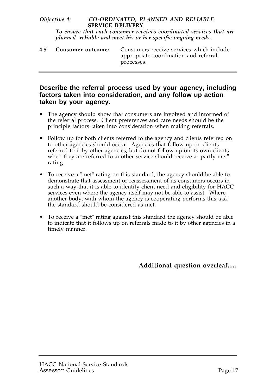*To ensure that each consumer receives coordinated services that are planned reliable and meet his or her specific ongoing needs.*

|  | 4.5 Consumer outcome: Consumers receive services which include |
|--|----------------------------------------------------------------|
|  | appropriate coordination and referral                          |
|  | processes.                                                     |

# **Describe the referral process used by your agency, including factors taken into consideration, and any follow up action taken by your agency.**

- The agency should show that consumers are involved and informed of the referral process. Client preferences and care needs should be the principle factors taken into consideration when making referrals.
- Follow up for both clients referred to the agency and clients referred on to other agencies should occur. Agencies that follow up on clients referred to it by other agencies, but do not follow up on its own clients when they are referred to another service should receive a "partly met" rating.
- To receive a "met" rating on this standard, the agency should be able to demonstrate that assessment or reassessment of its consumers occurs in such a way that it is able to identify client need and eligibility for HACC services even where the agency itself may not be able to assist. Where another body, with whom the agency is cooperating performs this task the standard should be considered as met.
- To receive a "met" rating against this standard the agency should be able to indicate that it follows up on referrals made to it by other agencies in a timely manner.

**Additional question overleaf.....**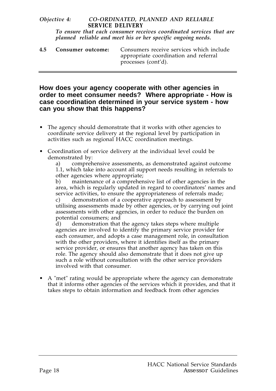*To ensure that each consumer receives coordinated services that are planned reliable and meet his or her specific ongoing needs.*

|  | 4.5 Consumer outcome: Consumers receive services which include |
|--|----------------------------------------------------------------|
|  | appropriate coordination and referral<br>processes (cont'd).   |

### **How does your agency cooperate with other agencies in order to meet consumer needs? Where appropriate - How is case coordination determined in your service system - how can you show that this happens?**

- The agency should demonstrate that it works with other agencies to coordinate service delivery at the regional level by participation in activities such as regional HACC coordination meetings.
- Coordination of service delivery at the individual level could be demonstrated by:

a) comprehensive assessments, as demonstrated against outcome 1.1, which take into account all support needs resulting in referrals to other agencies where appropriate;

b) maintenance of a comprehensive list of other agencies in the area, which is regularly updated in regard to coordinators' names and service activities, to ensure the appropriateness of referrals made;

c) demonstration of a cooperative approach to assessment by utilising assessments made by other agencies, or by carrying out joint assessments with other agencies, in order to reduce the burden on potential consumers; and

d) demonstration that the agency takes steps where multiple agencies are involved to identify the primary service provider for each consumer, and adopts a case management role, in consultation with the other providers, where it identifies itself as the primary service provider, or ensures that another agency has taken on this role. The agency should also demonstrate that it does not give up such a role without consultation with the other service providers involved with that consumer.

• A "met" rating would be appropriate where the agency can demonstrate that it informs other agencies of the services which it provides, and that it takes steps to obtain information and feedback from other agencies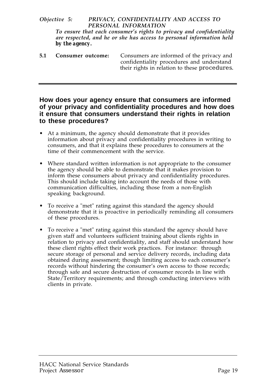# *Objective 5: PRIVACY, CONFIDENTIALITY AND ACCESS TO PERSONAL INFORMATION*

*To ensure that each consumer's rights to privacy and confidentiality are respected, and he or she has access to personal information held by the agency.* 

**5.1 Consumer outcome:** Consumers are informed of the privacy and confidentiality procedures and understand their rights in relation to these *procedures.*

# **How does your agency ensure that consumers are informed of your privacy and confidentiality procedures and how does it ensure that consumers understand their rights in relation to these procedures?**

- At a minimum, the agency should demonstrate that it provides information about privacy and confidentiality procedures in writing to consumers, and that it explains these procedures to consumers at the time of their commencement with the service.
- Where standard written information is not appropriate to the consumer the agency should be able to demonstrate that it makes provision to inform these consumers about privacy and confidentiality procedures. This should include taking into account the needs of those with communication difficulties, including those from a non-English speaking background.
- To receive a "met" rating against this standard the agency should demonstrate that it is proactive in periodically reminding all consumers of these procedures.
- To receive a "met" rating against this standard the agency should have given staff and volunteers sufficient training about clients rights in relation to privacy and confidentiality, and staff should understand how these client rights effect their work practices. For instance: through secure storage of personal and service delivery records, including data obtained during assessment; though limiting access to each consumer's records without hindering the consumer's own access to those records; through safe and secure destruction of consumer records in line with State/Territory requirements; and through conducting interviews with clients in private.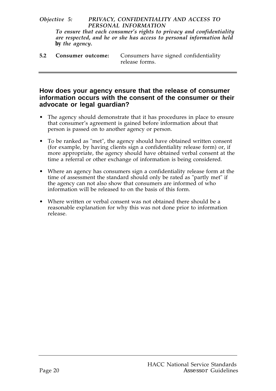#### *Objective 5: PRIVACY, CONFIDENTIALITY AND ACCESS TO PERSONAL INFORMATION To ensure that each consumer's rights to privacy and confidentiality are respected, and he or she has access to personal information held by the agency.*

**5.2 Consumer outcome:** Consumers have signed confidentiality release forms.

# **How does your agency ensure that the release of consumer information occurs with the consent of the consumer or their advocate or legal guardian?**

- The agency should demonstrate that it has procedures in place to ensure that consumer's agreement is gained before information about that person is passed on to another agency or person.
- To be ranked as "met", the agency should have obtained written consent (for example, by having clients sign a confidentiality release form) or, if more appropriate, the agency should have obtained verbal consent at the time a referral or other exchange of information is being considered.
- Where an agency has consumers sign a confidentiality release form at the time of assessment the standard should only be rated as "partly met" if the agency can not also show that consumers are informed of who information will be released to on the basis of this form.
- Where written or verbal consent was not obtained there should be a reasonable explanation for why this was not done prior to information release.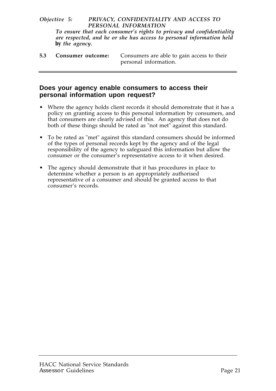#### *Objective 5: PRIVACY, CONFIDENTIALITY AND ACCESS TO PERSONAL INFORMATION To ensure that each consumer's rights to privacy and confidentiality are respected, and he or she has access to personal information held by the agency.*

**5.3 Consumer outcome:** Consumers are able to gain access to their personal information.

### **Does your agency enable consumers to access their personal information upon request?**

- Where the agency holds client records it should demonstrate that it has a policy on granting access to this personal information by consumers, and that consumers are clearly advised of this. An agency that does not do both of these things should be rated as "not met" against this standard.
- To be rated as "met" against this standard consumers should be informed of the types of personal records kept by the agency and of the legal responsibility of the agency to safeguard this information but allow the consumer or the consumer's representative access to it when desired.
- The agency should demonstrate that it has procedures in place to determine whether a person is an appropriately authorised representative of a consumer and should be granted access to that consumer's records.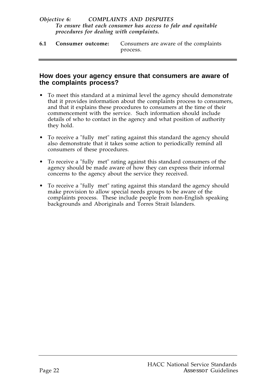**6.1 Consumer outcome:** Consumers are aware of the complaints process.

# **How does your agency ensure that consumers are aware of the complaints process?**

- To meet this standard at a minimal level the agency should demonstrate that it provides information about the complaints process to consumers, and that it explains these procedures to consumers at the time of their commencement with the service. Such information should include details of who to contact in the agency and what position of authority they hold.
- To receive a "fully met" rating against this standard the agency should also demonstrate that it takes some action to periodically remind all consumers of these procedures.
- To receive a "fully met" rating against this standard consumers of the agency should be made aware of how they can express their informal concerns to the agency about the service they received.
- To receive a "fully met" rating against this standard the agency should make provision to allow special needs groups to be aware of the complaints process. These include people from non-English speaking backgrounds and Aboriginals and Torres Strait Islanders.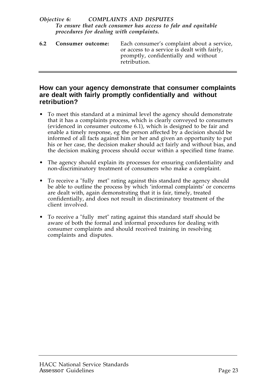| 6.2 | Consumer outcome: | Each consumer's complaint about a service,<br>or access to a service is dealt with fairly,<br>promptly, confidentially and without<br>retribution. |
|-----|-------------------|----------------------------------------------------------------------------------------------------------------------------------------------------|
|     |                   |                                                                                                                                                    |

# **How can your agency demonstrate that consumer complaints are dealt with fairly promptly confidentially and without retribution?**

- To meet this standard at a minimal level the agency should demonstrate that it has a complaints process, which is clearly conveyed to consumers (evidenced in consumer outcome 6.1), which is designed to be fair and enable a timely response, eg the person affected by a decision should be informed of all facts against him or her and given an opportunity to put his or her case, the decision maker should act fairly and without bias, and the decision making process should occur within a specified time frame.
- The agency should explain its processes for ensuring confidentiality and non-discriminatory treatment of consumers who make a complaint.
- To receive a "fully met" rating against this standard the agency should be able to outline the process by which 'informal complaints' or concerns are dealt with, again demonstrating that it is fair, timely, treated confidentially, and does not result in discriminatory treatment of the client involved.
- To receive a "fully met" rating against this standard staff should be aware of both the formal and informal procedures for dealing with consumer complaints and should received training in resolving complaints and disputes.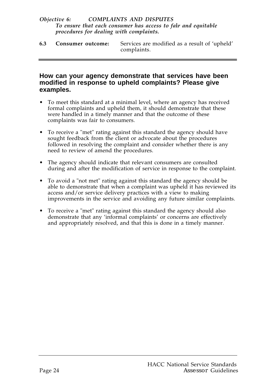**6.3 Consumer outcome:** Services are modified as a result of 'upheld' complaints.

# **How can your agency demonstrate that services have been modified in response to upheld complaints? Please give examples.**

- To meet this standard at a minimal level, where an agency has received formal complaints and upheld them, it should demonstrate that these were handled in a timely manner and that the outcome of these complaints was fair to consumers.
- To receive a "met" rating against this standard the agency should have sought feedback from the client or advocate about the procedures followed in resolving the complaint and consider whether there is any need to review of amend the procedures.
- The agency should indicate that relevant consumers are consulted during and after the modification of service in response to the complaint.
- To avoid a "not met" rating against this standard the agency should be able to demonstrate that when a complaint was upheld it has reviewed its access and/or service delivery practices with a view to making improvements in the service and avoiding any future similar complaints.
- To receive a "met" rating against this standard the agency should also demonstrate that any 'informal complaints' or concerns are effectively and appropriately resolved, and that this is done in a timely manner.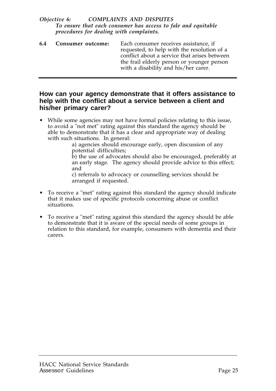**6.4 Consumer outcome:** Each consumer receives assistance, if requested, to help with the resolution of a conflict about a service that arises between the frail elderly person or younger person with a disability and his/her carer.

# **How can your agency demonstrate that it offers assistance to help with the conflict about a service between a client and his/her primary carer?**

• While some agencies may not have formal policies relating to this issue, to avoid a "not met" rating against this standard the agency should be able to demonstrate that it has a clear and appropriate way of dealing with such situations. In general:

a) agencies should encourage early, open discussion of any potential difficulties;

b) the use of advocates should also be encouraged, preferably at an early stage. The agency should provide advice to this effect; and

c) referrals to advocacy or counselling services should be arranged if requested.

- To receive a "met" rating against this standard the agency should indicate that it makes use of specific protocols concerning abuse or conflict situations.
- To receive a "met" rating against this standard the agency should be able to demonstrate that it is aware of the special needs of some groups in relation to this standard, for example, consumers with dementia and their carers.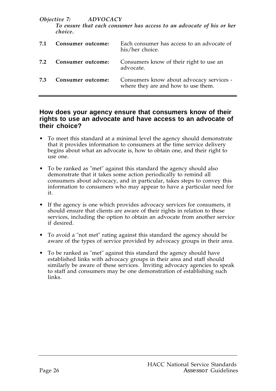*Objective 7: ADVOCACY*

*To ensure that each consumer has access to an advocate of his or her choice.*

| 7.1 | Consumer outcome: | Each consumer has access to an advocate of<br>his/her choice.                   |
|-----|-------------------|---------------------------------------------------------------------------------|
| 7.2 | Consumer outcome: | Consumers know of their right to use an<br>advocate.                            |
| 7.3 | Consumer outcome: | Consumers know about advocacy services -<br>where they are and how to use them. |

### **How does your agency ensure that consumers know of their rights to use an advocate and have access to an advocate of their choice?**

- To meet this standard at a minimal level the agency should demonstrate that it provides information to consumers at the time service delivery begins about what an advocate is, how to obtain one, and their right to use one.
- To be ranked as "met" against this standard the agency should also demonstrate that it takes some action periodically to remind all consumers about advocacy, and in particular, takes steps to convey this information to consumers who may appear to have a particular need for it.
- If the agency is one which provides advocacy services for consumers, it should ensure that clients are aware of their rights in relation to these services, including the option to obtain an advocate from another service if desired.
- To avoid a "not met" rating against this standard the agency should be aware of the types of service provided by advocacy groups in their area.
- To be ranked as "met" against this standard the agency should have established links with advocacy groups in their area and staff should similarly be aware of these services. Inviting advocacy agencies to speak to staff and consumers may be one demonstration of establishing such links.